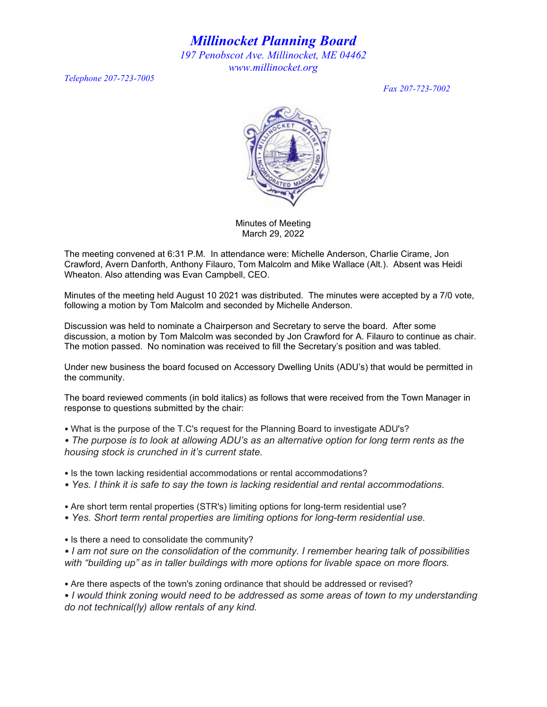*Millinocket Planning Board*

*197 Penobscot Ave. Millinocket, ME 04462 www.millinocket.org* 

*Telephone 207-723-7005* 

*Fax 207-723-7002*



Minutes of Meeting March 29, 2022

The meeting convened at 6:31 P.M. In attendance were: Michelle Anderson, Charlie Cirame, Jon Crawford, Avern Danforth, Anthony Filauro, Tom Malcolm and Mike Wallace (Alt.). Absent was Heidi Wheaton. Also attending was Evan Campbell, CEO.

Minutes of the meeting held August 10 2021 was distributed. The minutes were accepted by a 7/0 vote, following a motion by Tom Malcolm and seconded by Michelle Anderson.

Discussion was held to nominate a Chairperson and Secretary to serve the board. After some discussion, a motion by Tom Malcolm was seconded by Jon Crawford for A. Filauro to continue as chair. The motion passed. No nomination was received to fill the Secretary's position and was tabled.

Under new business the board focused on Accessory Dwelling Units (ADU's) that would be permitted in the community.

The board reviewed comments (in bold italics) as follows that were received from the Town Manager in response to questions submitted by the chair:

• What is the purpose of the T.C's request for the Planning Board to investigate ADU's?

*• The purpose is to look at allowing ADU's as an alternative option for long term rents as the housing stock is crunched in it's current state.*

- Is the town lacking residential accommodations or rental accommodations?
- *Yes. I think it is safe to say the town is lacking residential and rental accommodations.*
- Are short term rental properties (STR's) limiting options for long-term residential use?
- *Yes. Short term rental properties are limiting options for long-term residential use.*

• Is there a need to consolidate the community?

*• I am not sure on the consolidation of the community. I remember hearing talk of possibilities with "building up" as in taller buildings with more options for livable space on more floors.*

• Are there aspects of the town's zoning ordinance that should be addressed or revised?

• *I would think zoning would need to be addressed as some areas of town to my understanding do not technical(ly) allow rentals of any kind.*